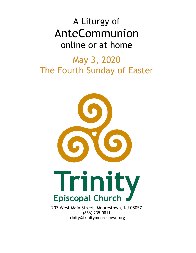# A Liturgy of AnteCommunion online or at home

## May 3, 2020 The Fourth Sunday of Easter



207 West Main Street, Moorestown, NJ 08057 (856) 235-0811 trinity@trinitymoorestown.org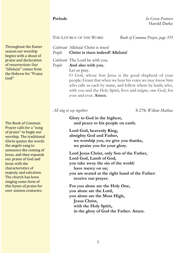**Prelude** *In Green Pastures* Harold Darke

Throughout the Easter season our worship begins with a shout of praise and declaration of resurrection: Our "Alleluia!" comes from the Hebrew for "Praise" God!"

The Book of Common Prayer calls for a "song" of praise" to begin our worship. The traditional *Gloria* quotes the words the angels sang to announce the coming of Jesus, and then expands our praise of God and **Jesus** with the characteristics of majesty and salvation. The church has been singing some form of this hymn of praise for over sixteen centuries.

#### THE LITURGY OF THE WORD *Book of Common Prayer, page 355*

*Celebrant* Alleluia! Christ is risen! *People* **Christ is risen indeed! Alleluia!**

*Celebrant* The Lord be with you. *People* **And also with you.**

Let us pray.

O God, whose Son Jesus is the good shepherd of your people; Grant that when we hear his voice we may know him who calls us each by name, and follow where he leads; who, with you and the Holy Spirit, lives and reigns, one God, for ever and ever. **Amen.**

*All sing or say together:* S-278*; Willam Mathias*

**Glory to God in the highest, and peace to his people on earth.**

**Lord God, heavenly King, almighty God and Father, we worship you, we give you thanks, we praise you for your glory.**

**Lord Jesus Christ, only Son of the Father, Lord God, Lamb of God, you take away the sin of the world: have mercy on us; you are seated at the right hand of the Father: receive our prayer.**

**For you alone are the Holy One, you alone are the Lord, you alone are the Most High, Jesus Christ, with the Holy Spirit, in the glory of God the Father. Amen.**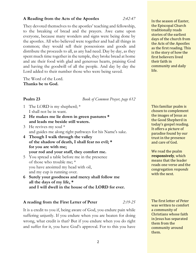### **A Reading from the Acts of the Apostles** *2:42-47*

They devoted themselves to the apostles' teaching and fellowship, to the breaking of bread and the prayers. Awe came upon everyone, because many wonders and signs were being done by the apostles. All who believed were together and had all things in common; they would sell their possessions and goods and distribute the proceeds to all, as any had need. Day by day, as they spent much time together in the temple, they broke bread at home and ate their food with glad and generous hearts, praising God and having the goodwill of all the people. And day by day the

**Psalm 23** *Book of Common Prayer, page 612*

1 The LORD is my shepherd; \* I shall not be in want.

The Word of the Lord. **Thanks be to God.**

- **2 He makes me lie down in green pastures \* and leads me beside still waters.**
- 3 He revives my soul \* and guides me along right pathways for his Name's sake.

Lord added to their number those who were being saved.

- **4 Though I walk through the valley of the shadow of death, I shall fear no evil; \* for you are with me; your rod and your staff, they comfort me.**
- 5 You spread a table before me in the presence of those who trouble me; \* you have anointed my head with oil, and my cup is running over.
- **6 Surely your goodness and mercy shall follow me all the days of my life, \* and I will dwell in the house of the LORD for ever.**

### **A reading from the First Letter of Peter** *2:19-25*

It is a credit to you if, being aware of God, you endure pain while suffering unjustly. If you endure when you are beaten for doing wrong, what credit is that? But if you endure when you do right and suffer for it, you have God's approval. For to this you have

In the season of Easter, the Episcopal Church traditionally reads stories of the earliest days of the church from the Acts of the Apostles as the first reading. This is the story of how the first believers lived their faith in community and daily life.

This familiar psalm is chosen to complement the images of Jesus as the Good Shepherd in today's gospel reading. It offers a picture of paradise found by our trust in the presence and care of God.

We read the psalm **responsively**, which means that the leader reads one verse and the congregation *responds* with the next.

The first letter of Peter was written to comfort a community of Christians whose faith in Jesus has separated them from the community around them.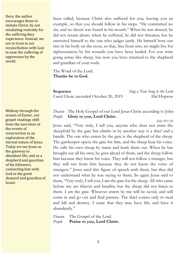Here, the author encourages them to imitate Christ, by not retaliating violently for the suffering they experience. Instead, we are to trust in our reconciliation with God to ease the suffering of oppression by the world.

Midway through the season of Easter, our gospel readings shift from the narration of the events of resurrection to an exploration of the eternal nature of Jesus. Today we see Jesus as the gateway to abundant life, and as a shepherd and guardian of his followers, connecting him with God as the great sheperd and guardian of Israel. 

been called, because Christ also suffered for you, leaving you an example, so that you should follow in his steps. "He committed no sin, and no deceit was found in his mouth." When he was abused, he did not return abuse; when he suffered, he did not threaten; but he entrusted himself to the one who judges justly. He himself bore our sins in his body on the cross, so that, free from sins, we might live for righteousness; by his wounds you have been healed. For you were going astray like sheep, but now you have returned to the shepherd and guardian of your souls.

The Word of the Lord. **Thanks be to God.**

**Sequence** *Sing a New Song to the Lord* Carol Choir, recorded October 20, 2019 Hal Hopson

### *Deacon* The Holy Gospel of our Lord Jesus Christ according to John *People* **Glory to you, Lord Christ.**

*John 10:1-10*

Jesus said, "Very truly, I tell you, anyone who does not enter the sheepfold by the gate but climbs in by another way is a thief and a bandit. The one who enters by the gate is the shepherd of the sheep. The gatekeeper opens the gate for him, and the sheep hear his voice. He calls his own sheep by name and leads them out. When he has brought out all his own, he goes ahead of them, and the sheep follow him because they know his voice. They will not follow a stranger, but they will run from him because they do not know the voice of strangers." Jesus used this figure of speech with them, but they did not understand what he was saying to them. So again Jesus said to them, "Very truly, I tell you, I am the gate for the sheep. All who came before me are thieves and bandits; but the sheep did not listen to them. I am the gate. Whoever enters by me will be saved, and will come in and go out and find pasture. The thief comes only to steal and kill and destroy. I came that they may have life, and have it abundantly."

*Deacon* The Gospel of the Lord. *People* **Praise to you, Lord Christ.**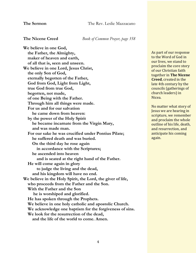**The Nicene Creed** *Book of Common Prayer, page 358*

**We believe in one God, the Father, the Almighty, maker of heaven and earth, of all that is, seen and unseen. We believe in one Lord, Jesus Christ, the only Son of God, eternally begotten of the Father, God from God, Light from Light, true God from true God, begotten, not made, of one Being with the Father. Through him all things were made. For us and for our salvation he came down from heaven: by the power of the Holy Spirit he became incarnate from the Virgin Mary, and was made man. For our sake he was crucified under Pontius Pilate; he suffered death and was buried. On the third day he rose again in accordance with the Scriptures; he ascended into heaven and is seated at the right hand of the Father. He will come again in glory to judge the living and the dead, and his kingdom will have no end. We believe in the Holy Spirit, the Lord, the giver of life, who proceeds from the Father and the Son. With the Father and the Son he is worshiped and glorified. He has spoken through the Prophets. We believe in one holy catholic and apostolic Church. We acknowledge one baptism for the forgiveness of sins. We look for the resurrection of the dead, and the life of the world to come. Amen.**

As part of our response to the Word of God in our lives, we stand to proclaim the core story of our Christian faith **together in The Nicene Creed**, created in the late 4th century by the councils (gatherings of church leaders) in Nicea. 

No matter what story of Jesus we are hearing in scripture, we remember and proclaim the whole outline of his life, death, and resurrection, and anticipate his coming again.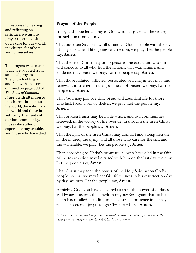In response to hearing and reflecting on scripture, we turn to prayer together, asking God's care for our world, the church, for others and for ourselves.

The prayers we are using today are adapted from seasonal prayers used in The Church of England, and follow the pattern outlined on page 383 of **The Book of Common** *Prayer,* with attention to the church throughout the world, the nation and the world and those in authority, the needs of our local community, those who suffer or experience any trouble, and those who have died.

### **Prayers of the People**

In joy and hope let us pray to God who has given us the victory through the risen Christ.

That our risen Savior may fill us and all God's people with the joy of his glorious and life-giving resurrection, we pray. Let the people say, **Amen.**

That the risen Christ may bring peace to the earth, and wisdom and concord to all who lead the nations; that war, famine, and epidemic may cease, we pray. Let the people say, **Amen.**

That those isolated, afflicted, persecuted or living in fear may find renewal and strength in the good news of Easter, we pray. Let the people say, **Amen.**

That God may provide daily bread and abundant life for those who lack food, work or shelter, we pray. Let the people say, **Amen.**

That broken hearts may be made whole, and our communities renewed, in the victory of life over death through the risen Christ, we pray. Let the people say, **Amen.**

That the light of the risen Christ may comfort and strengthen the ill, the injured, the dying, and all those who care for the sick and the vulnerable, we pray. Let the people say, **Amen.**

That, according to Christ's promises, all who have died in the faith of the resurrection may be raised with him on the last day, we pray. Let the people say, **Amen.**

That Christ may send the power of the Holy Spirit upon God's people, so that we may bear faithful witness to his resurrection day by day, we pray. Let the people say, **Amen.**

Almighty God, you have delivered us from the power of darkness and brought us into the kingdom of your Son: grant that, as his death has recalled us to life, so his continual presence in us may raise us to eternal joy; through Christ our Lord. **Amen.**

*In the Easter season, the Confession is omitted in celebration of our freedom from the bondage of sin brought about through Christ's resurrection.*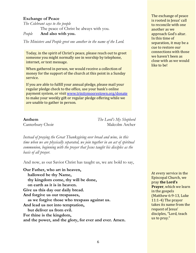### **Exchange of Peace**

*The Celebrant says to the people* The peace of Christ be always with you. *People* **And also with you.**

*The Ministers and People greet one another in the name of the Lord.*

Today, in the spirit of Christ's peace, please reach out to greet someone you might normally see in worship by telephone, internet, or text message.

When gathered in person, we would receive a collection of money for the support of the church at this point in a Sunday service.

If you are able to fulfill your annual pledge, please mail your regular pledge check to the office, use your bank's online payment system, or visit www.trinitymoorestown.org/donate to make your weekly gift or regular pledge offering while we are unable to gather in person.

**Anthem** *The Lord's My Shepherd* Canterbury Choir Malcolm Archer

*Instead of praying the Great Thanksgiving over bread and wine, in this time when we are physically separated, we join together in an act of spiritual communion, beginning with the prayer that Jesus taught his disciples as the basis of all prayer.*

And now, as our Savior Christ has taught us, we are bold to say,

**Our Father, who art in heaven, hallowed be thy Name, thy kingdom come, thy will be done, on earth as it is in heaven. Give us this day our daily bread. And forgive us our trespasses, as we forgive those who trespass against us. And lead us not into temptation, but deliver us from evil. For thine is the kingdom, and the power, and the glory, for ever and ever. Amen.**

The exchange of peace is rooted in Jesus' call to reconcile with one another as we approach God's altar. In this time of separation, it may be a cue to restore our connections with those we haven't been as close with as we would like to be!

At every service in the Episcopal Church, we pray the Lord's **Prayer**, which we learn in the gospels (Matthew 6:9-13, Luke  $11:1-4$ ) The prayer takes its name from the request of Jesus' disciples, "Lord, teach us to pray."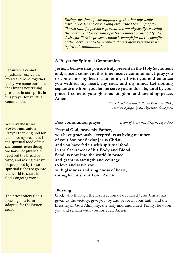*During this time of worshipping together but physically* distant, we depend on the long established teaching of the *Church that if a person is prevented from physically receiving* the Sacrament for reasons of extreme *illness* or disability, the *desire for Christ's presence alone is enough for all the benefits* of the Sacrament to be received. This is often referred to as *"spiritual communion."*

#### **A Prayer for Spiritual Communion**

**Jesus, I believe that you are truly present in the Holy Sacrament and, since I cannot at this time receive communion, I pray you to come into my heart. I unite myself with you and embrace you with all my heart, my soul, and my mind. Let nothing separate me from you; let me serve you in this life, until by your grace, I come to your glorious kingdom and unending peace. Amen.**

> *(From Saint Augustine's Prayer Book, rev 2014., based on a prayer by St. Alphonsus de Liguori)*

**Post communion prayer** *Book of Common Prayer, page 365*

**Eternal God, heavenly Father, you have graciously accepted us as living members of your Son our Savior Jesus Christ, and you have fed us with spiritual food in the Sacrament of his Body and Blood. Send us now into the world in peace, and grant us strength and courage to love and serve you with gladness and singleness of heart; through Christ our Lord. Amen.**

#### **Blessing**

God, who through the resurrection of our Lord Jesus Christ has given us the victory, give you joy and peace in your faith; and the blessing of God Almighty, the holy and undivided Trinity, be upon you and remain with you for ever. **Amen.**

Because we cannot physically receive the bread and wine together today, we name our need for Christ's nourishing presence in our spirits in this prayer for spiritual communion.

### We pray the usual **Post-Communion**

**Prayer** thanking God for the blessings received in the spiritual food of this sacrament, even though we have not physically received the bread or wine, and asking that we be prepared by those spiritual riches to go into the world to share in God's ongoing work.

The priest offers God's blessing, in a form adapted for the Easter season.